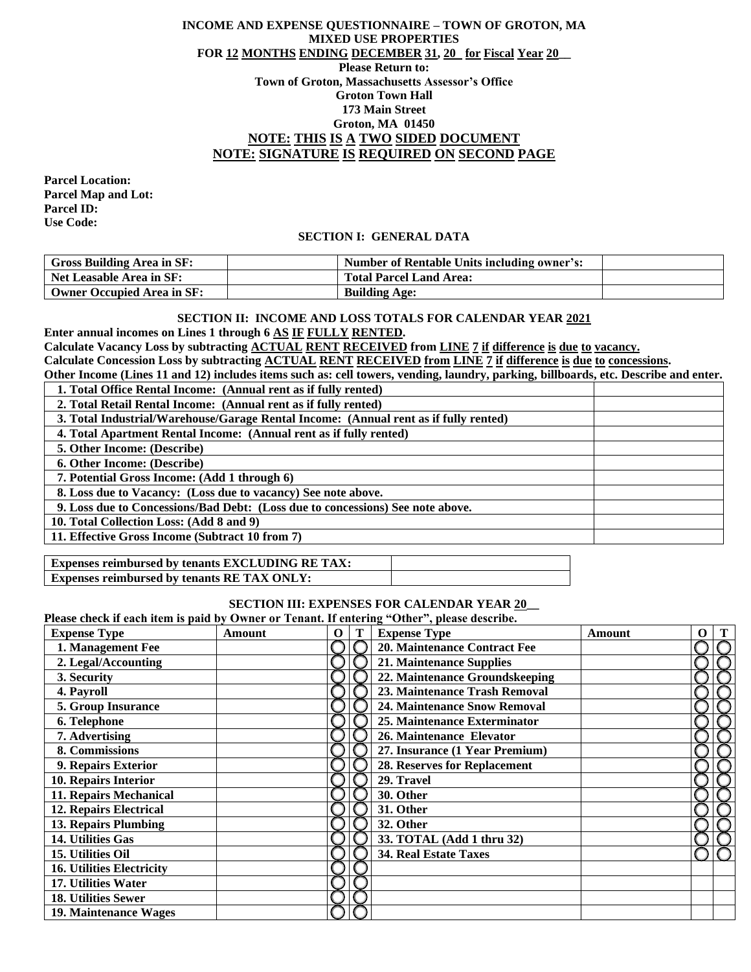## **INCOME AND EXPENSE QUESTIONNAIRE – TOWN OF GROTON, MA MIXED USE PROPERTIES FOR 12 MONTHS ENDING DECEMBER 31, 20 for Fiscal Year 20\_\_ Please Return to: Town of Groton, Massachusetts Assessor's Office Groton Town Hall 173 Main Street Groton, MA 01450 NOTE: THIS IS A TWO SIDED DOCUMENT NOTE: SIGNATURE IS REQUIRED ON SECOND PAGE**

**Parcel Location: Parcel Map and Lot: Parcel ID: Use Code:**

### **SECTION I: GENERAL DATA**

| <b>Gross Building Area in SF:</b> | Number of Rentable Units including owner's: |  |
|-----------------------------------|---------------------------------------------|--|
| Net Leasable Area in SF:          | <b>Total Parcel Land Area:</b>              |  |
| Owner Occupied Area in SF:        | <b>Building Age:</b>                        |  |

#### **SECTION II: INCOME AND LOSS TOTALS FOR CALENDAR YEAR 2021**

**Enter annual incomes on Lines 1 through 6 AS IF FULLY RENTED.**

**Calculate Vacancy Loss by subtracting ACTUAL RENT RECEIVED from LINE 7 if difference is due to vacancy. Calculate Concession Loss by subtracting ACTUAL RENT RECEIVED from LINE 7 if difference is due to concessions.**

**Other Income (Lines 11 and 12) includes items such as: cell towers, vending, laundry, parking, billboards, etc. Describe and enter.**

| 1. Total Office Rental Income: (Annual rent as if fully rented)                      |
|--------------------------------------------------------------------------------------|
| 2. Total Retail Rental Income: (Annual rent as if fully rented)                      |
| 3. Total Industrial/Warehouse/Garage Rental Income: (Annual rent as if fully rented) |
| 4. Total Apartment Rental Income: (Annual rent as if fully rented)                   |
| 5. Other Income: (Describe)                                                          |
| <b>6. Other Income: (Describe)</b>                                                   |
| 7. Potential Gross Income: (Add 1 through 6)                                         |
| 8. Loss due to Vacancy: (Loss due to vacancy) See note above.                        |
| 9. Loss due to Concessions/Bad Debt: (Loss due to concessions) See note above.       |
| 10. Total Collection Loss: (Add 8 and 9)                                             |
| 11. Effective Gross Income (Subtract 10 from 7)                                      |

| <b>Expenses reimbursed by tenants EXCLUDING RE TAX:</b> |  |
|---------------------------------------------------------|--|
| Expenses reimbursed by tenants RE TAX ONLY:             |  |

#### **SECTION III: EXPENSES FOR CALENDAR YEAR 20\_\_**

**Please check if each item is paid by Owner or Tenant. If entering "Other", please describe.**

| These check if cach hem is paid by Owner or Tenand II checking - Other , picase described<br><b>Expense Type</b> | Amount | $\Omega$ | <b>Expense Type</b>                 | Amount | O |
|------------------------------------------------------------------------------------------------------------------|--------|----------|-------------------------------------|--------|---|
| 1. Management Fee                                                                                                |        |          | 20. Maintenance Contract Fee        |        |   |
| 2. Legal/Accounting                                                                                              |        |          | 21. Maintenance Supplies            |        |   |
| 3. Security                                                                                                      |        |          | 22. Maintenance Groundskeeping      |        |   |
| 4. Payroll                                                                                                       |        |          | 23. Maintenance Trash Removal       |        |   |
| 5. Group Insurance                                                                                               |        |          | <b>24. Maintenance Snow Removal</b> |        |   |
| 6. Telephone                                                                                                     |        |          | 25. Maintenance Exterminator        |        |   |
| 7. Advertising                                                                                                   |        |          | 26. Maintenance Elevator            |        |   |
| 8. Commissions                                                                                                   |        |          | 27. Insurance (1 Year Premium)      |        |   |
| 9. Repairs Exterior                                                                                              |        |          | 28. Reserves for Replacement        |        |   |
| 10. Repairs Interior                                                                                             |        |          | 29. Travel                          |        |   |
| 11. Repairs Mechanical                                                                                           |        |          | 30. Other                           |        |   |
| <b>12. Repairs Electrical</b>                                                                                    |        |          | 31. Other                           |        |   |
| 13. Repairs Plumbing                                                                                             |        |          | 32. Other                           |        |   |
| 14. Utilities Gas                                                                                                |        |          | 33. TOTAL (Add 1 thru 32)           |        |   |
| 15. Utilities Oil                                                                                                |        |          | <b>34. Real Estate Taxes</b>        |        |   |
| <b>16. Utilities Electricity</b>                                                                                 |        |          |                                     |        |   |
| 17. Utilities Water                                                                                              |        |          |                                     |        |   |
| <b>18. Utilities Sewer</b>                                                                                       |        |          |                                     |        |   |
| 19. Maintenance Wages                                                                                            |        |          |                                     |        |   |